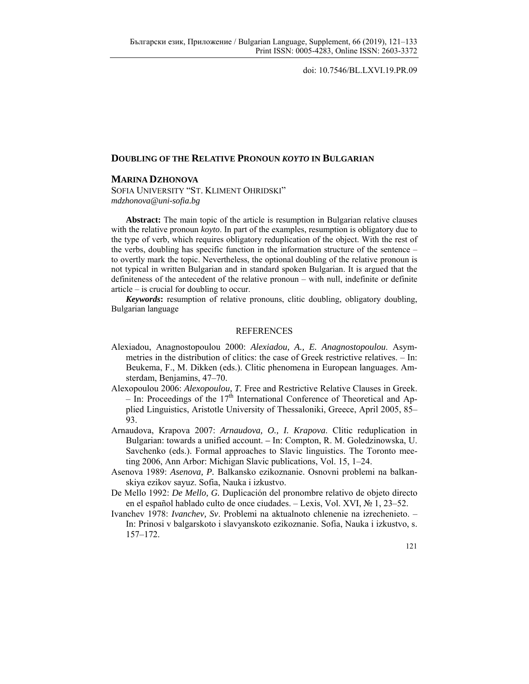doi: 10.7546/BL.LXVI.19.PR.09

## **DOUBLING OF THE RELATIVE PRONOUN** *KOYTO* **IN BULGARIAN**

## **MARINA DZHONOVA**

SOFIA UNIVERSITY "ST. KLIMENT OHRIDSKI" *mdzhonova@uni-sofia.bg* 

**Abstract:** The main topic of the article is resumption in Bulgarian relative clauses with the relative pronoun *koyto*. In part of the examples, resumption is obligatory due to the type of verb, which requires obligatory reduplication of the object. With the rest of the verbs, doubling has specific function in the information structure of the sentence – to overtly mark the topic. Nevertheless, the optional doubling of the relative pronoun is not typical in written Bulgarian and in standard spoken Bulgarian. It is argued that the definiteness of the antecedent of the relative pronoun – with null, indefinite or definite article – is crucial for doubling to occur.

*Keywords***:** resumption of relative pronouns, clitic doubling, obligatory doubling, Bulgarian language

## **REFERENCES**

- Alexiadou, Anagnostopoulou 2000: *Alexiadou, A., E. Anagnostopoulou*. Asymmetries in the distribution of clitics: the case of Greek restrictive relatives. – In: Beukema, F., M. Dikken (eds.). Clitic phenomena in European languages. Amsterdam, Benjamins, 47–70.
- Alexopoulou 2006: *Alexopoulou, T.* Free and Restrictive Relative Clauses in Greek. – In: Proceedings of the  $17<sup>th</sup>$  International Conference of Theoretical and Applied Linguistics, Aristotle University of Thessaloniki, Greece, April 2005, 85– 93.
- Arnaudova, Krapova 2007: *Arnaudova, O., I. Krapova*. Clitic reduplication in Bulgarian: towards a unified account. *–* In: Compton, R. M. Goledzinowska, U. Savchenko (eds.). Formal approaches to Slavic linguistics. The Toronto meeting 2006, Ann Arbor: Michigan Slavic publications, Vol. 15, 1–24.
- Asenova 1989: *Asenova, P.* Balkansko ezikoznanie. Osnovni problemi na balkanskiya ezikov sayuz. Sofia, Nauka i izkustvo.
- De Mello 1992: *De Mello, G.* Duplicación del pronombre relativo de objeto directo en el español hablado culto de once ciudades. – Lexis, Vol. XVI, № 1, 23–52.
- Ivanchev 1978: *Ivanchev, Sv*. Problemi na aktualnoto chlenenie na izrechenieto. In: Prinosi v balgarskoto i slavyanskoto ezikoznanie. Sofia, Nauka i izkustvo, s. 157–172.

121